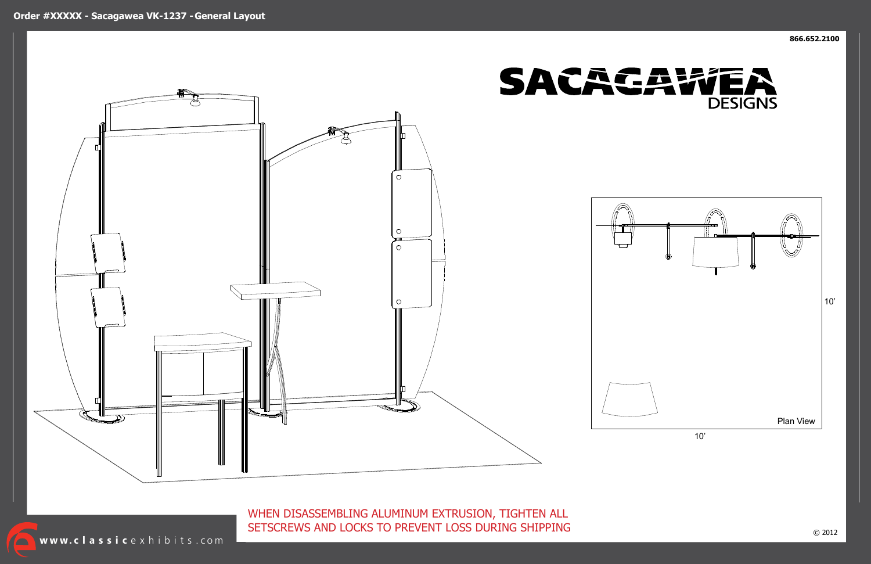WHEN DISASSEMBLING ALUMINUM EXTRUSION, TIGHTEN ALL SETSCREWS AND LOCKS TO PREVENT LOSS DURING SHIPPING

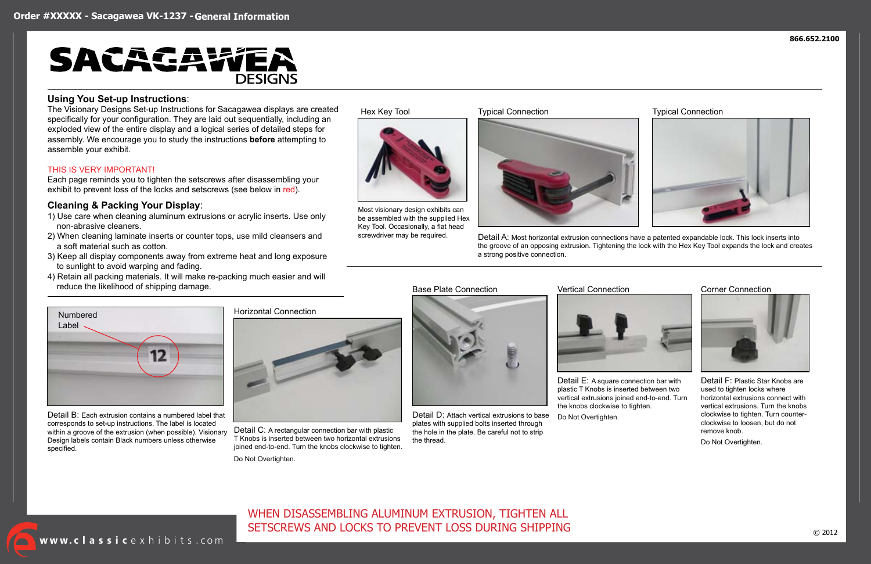# WHEN DISASSEMBLING ALUMINUM EXTRUSION, TIGHTEN ALL SETSCREWS AND LOCKS TO PREVENT LOSS DURING SHIPPING



#### **Using You Set-up Instructions**:

The Visionary Designs Set-up Instructions for Sacagawea displays are created specifically for your configuration. They are laid out sequentially, including an exploded view of the entire display and a logical series of detailed steps for assembly. We encourage you to study the instructions **before** attempting to assemble your exhibit.

#### THIS IS VERY IMPORTANT!

Each page reminds you to tighten the setscrews after disassembling your exhibit to prevent loss of the locks and setscrews (see below in red).

### **Cleaning & Packing Your Display**:

screwdriver may be required. Detail A: Most horizontal extrusion connections have a patented expandable lock. This lock inserts into the groove of an opposing extrusion. Tightening the lock with the Hex Key Tool expands the lock and creates a strong positive connection.

- 1) Use care when cleaning aluminum extrusions or acrylic inserts. Use only non-abrasive cleaners.
- 2) When cleaning laminate inserts or counter tops, use mild cleansers and a soft material such as cotton.
- 3) Keep all display components away from extreme heat and long exposure to sunlight to avoid warping and fading.
- 4) Retain all packing materials. It will make re-packing much easier and will reduce the likelihood of shipping damage.

## Hex Key Tool Typical Connection Typical Connection







Most visionary design exhibits can be assembled with the supplied Hex Key Tool. Occasionally, a flat head





Detail B: Each extrusion contains a numbered label that corresponds to set-up instructions. The label is located within a groove of the extrusion (when possible). Visionary Design labels contain Black numbers unless otherwise specified.

Horizontal Connection



Detail C: A rectangular connection bar with plastic T Knobs is inserted between two horizontal extrusions joined end-to-end. Turn the knobs clockwise to tighten.

Detail D: Attach vertical extrusions to base plates with supplied bolts inserted through the hole in the plate. Be careful not to strip

Base Plate Connection **Vertical Connection** Corner Connection

the thread.



Detail E: A square connection bar with plastic T Knobs is inserted between two vertical extrusions joined end-to-end. Turn the knobs clockwise to tighten.

Detail F: Plastic Star Knobs are used to tighten locks where horizontal extrusions connect with vertical extrusions. Turn the knobs clockwise to tighten. Turn counterclockwise to loosen, but do not remove knob.

Do Not Overtighten.

Do Not Overtighten.

Do Not Overtighten.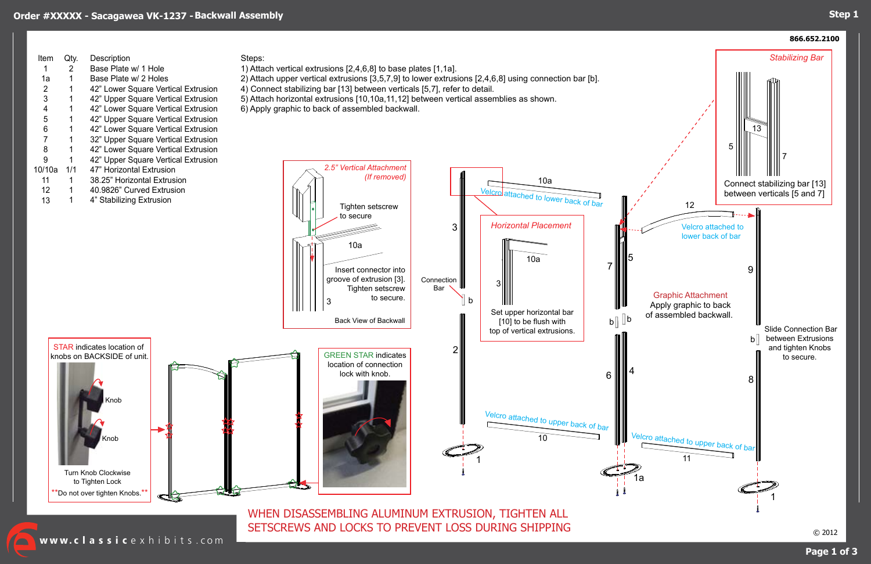## **Step 1**

© 2012



www.classicexhibits.com

SETSCREWS AND LOCKS TO PREVENT LOSS DURING SHIPPING

| Item<br>1<br>1a<br>$\overline{\mathbf{c}}$<br>3<br>4<br>5<br>6<br>7<br>8<br>9<br>10/10a<br>11<br>12<br>13 | Qty.<br>$\overline{2}$<br>1<br>1<br>1<br>1<br>1<br>1<br>1<br>1<br>1<br>1/1<br>1<br>1<br>1 | Description<br>Base Plate w/ 1 Hole<br>Base Plate w/ 2 Holes<br>42" Lower Square Vertical Extrusion<br>42" Upper Square Vertical Extrusion<br>42" Lower Square Vertical Extrusion<br>42" Upper Square Vertical Extrusion<br>42" Lower Square Vertical Extrusion<br>32" Upper Square Vertical Extrusion<br>42" Lower Square Vertical Extrusion<br>42" Upper Square Vertical Extrusion<br>47" Horizontal Extrusion<br>38.25" Horizontal Extrusion<br>40.9826" Curved Extrusion<br>4" Stabilizing Extrusion | <b>Steps</b><br>1) Atta<br>2) Atta<br>4) Co<br>5) Atta<br>$6)$ Ap |
|-----------------------------------------------------------------------------------------------------------|-------------------------------------------------------------------------------------------|----------------------------------------------------------------------------------------------------------------------------------------------------------------------------------------------------------------------------------------------------------------------------------------------------------------------------------------------------------------------------------------------------------------------------------------------------------------------------------------------------------|-------------------------------------------------------------------|
|                                                                                                           |                                                                                           | <b>STAR</b> indicates location of                                                                                                                                                                                                                                                                                                                                                                                                                                                                        |                                                                   |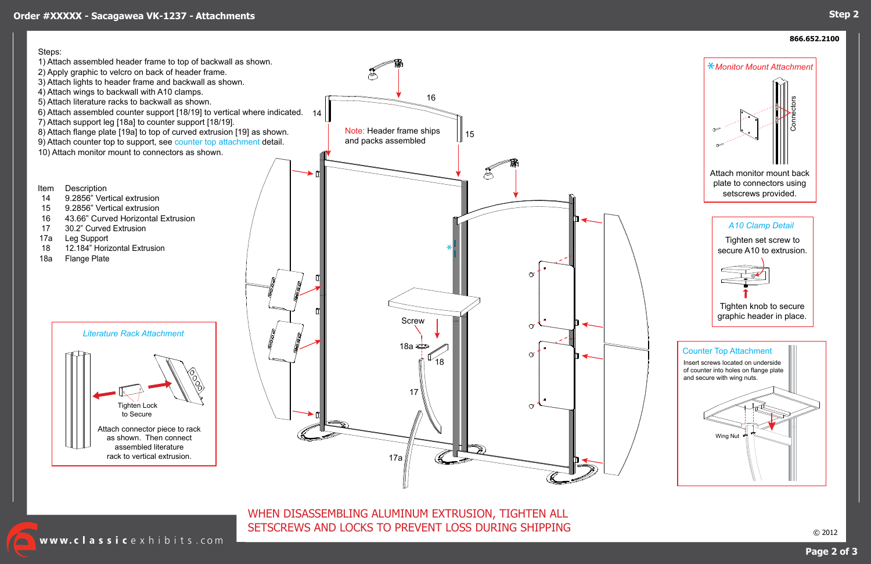## **Step 2**

## **Page 2 of 3**

#### **866.652.2100**

© 2012

WHEN DISASSEMBLING ALUMINUM EXTRUSION, TIGHTEN ALL SETSCREWS AND LOCKS TO PREVENT LOSS DURING SHIPPING

www.classicexhibits.com

## **Order #XXXXX - Sacagawea VK-1237 - Attachments**

#### Steps:



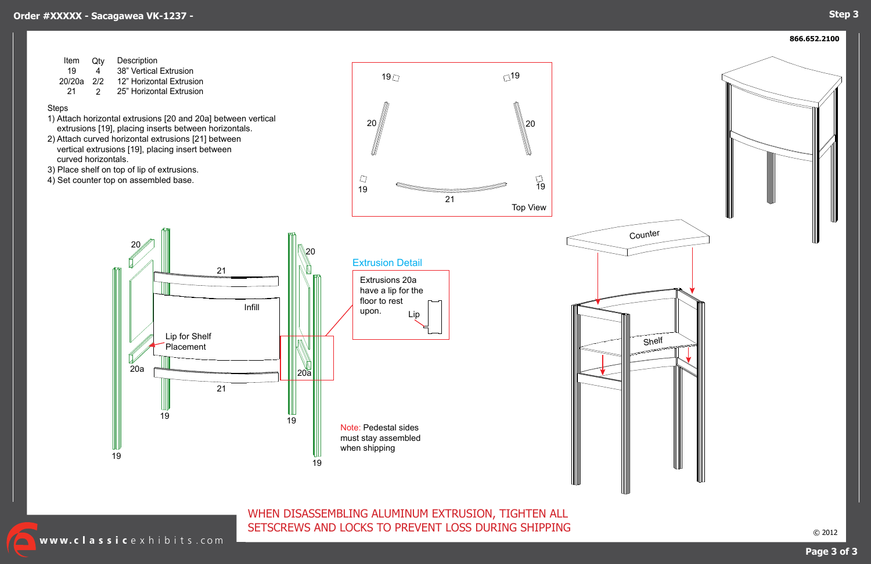## **Step 3**

**866.652.2100**

WHEN DISASSEMBLING ALUMINUM EXTRUSION, TIGHTEN ALL SETSCREWS AND LOCKS TO PREVENT LOSS DURING SHIPPING

Www.classicexhibits.com

| Item   | Qtv | <b>Description</b>       |
|--------|-----|--------------------------|
| 19     | 4   | 38" Vertical Extrusion   |
| 20/20a | 2/2 | 12" Horizontal Extrusion |
| -21    | 2.  | 25" Horizontal Extrusion |

#### Steps



- 1) Attach horizontal extrusions [20 and 20a] between vertical extrusions [19], placing inserts between horizontals.
- 2) Attach curved horizontal extrusions [21] between vertical extrusions [19], placing insert between curved horizontals.
- 3) Place shelf on top of lip of extrusions.
- 4) Set counter top on assembled base.



Infill Extrusions 20a have a lip for the floor to rest upon. Lip for Shelf Placement Lip Extrusion Detail 19 20a 20 21 21 19 <sup>19</sup> <sup>19</sup>  $|20a|$ 20 Note: Pedestal sides must stay assembled when shipping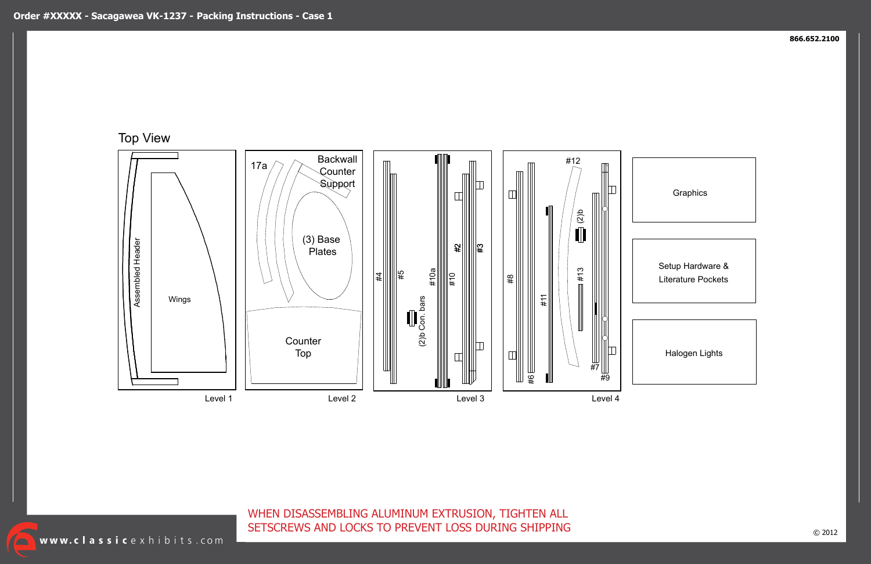$\sqrt{\phantom{a}}$ 

## **Graphics**

WHEN DISASSEMBLING ALUMINUM EXTRUSION, TIGHTEN ALL SETSCREWS AND LOCKS TO PREVENT LOSS DURING SHIPPING



Halogen Lights

Setup Hardware & Literature Pockets